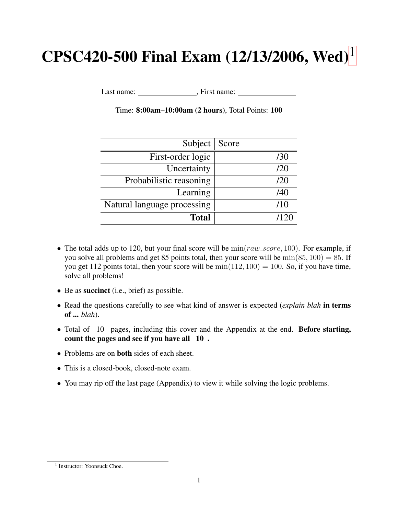# $CPSC420-500$  Final Exam ([1](#page-0-0)2/13/2006, Wed)<sup>1</sup>

Last name: First name:

| Subject                     | Score |
|-----------------------------|-------|
| First-order logic           | /30   |
| Uncertainty                 | /20   |
| Probabilistic reasoning     | /20   |
| Learning                    | /40   |
| Natural language processing | /10   |
| <b>Total</b>                |       |

Time: 8:00am–10:00am (2 hours), Total Points: 100

- The total adds up to 120, but your final score will be  $\min(raw\_score, 100)$ . For example, if you solve all problems and get 85 points total, then your score will be  $\min(85, 100) = 85$ . If you get 112 points total, then your score will be  $min(112, 100) = 100$ . So, if you have time, solve all problems!
- Be as **succinct** (i.e., brief) as possible.
- Read the questions carefully to see what kind of answer is expected (*explain blah* in terms of ... *blah*).
- Total of  $\overline{10}$  pages, including this cover and the Appendix at the end. Before starting, count the pages and see if you have all 10 .
- Problems are on **both** sides of each sheet.
- This is a closed-book, closed-note exam.
- You may rip off the last page (Appendix) to view it while solving the logic problems.

<span id="page-0-0"></span><sup>&</sup>lt;sup>1</sup> Instructor: Yoonsuck Choe.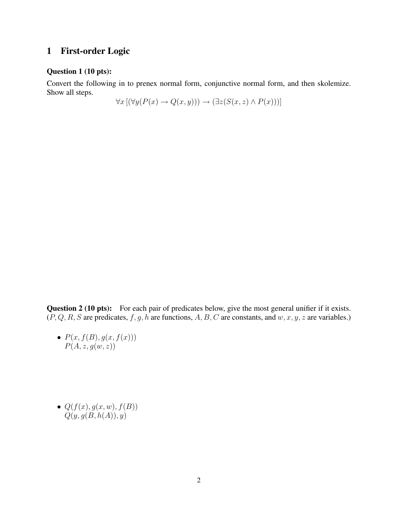#### 1 First-order Logic

#### Question 1 (10 pts):

Convert the following in to prenex normal form, conjunctive normal form, and then skolemize. Show all steps.

 $\forall x \left[ (\forall y (P(x) \rightarrow Q(x, y))) \rightarrow (\exists z (S(x, z) \land P(x))) \right]$ 

Question 2 (10 pts): For each pair of predicates below, give the most general unifier if it exists.  $(P, Q, R, S \text{ are predicates}, f, g, h \text{ are functions}, A, B, C \text{ are constants, and } w, x, y, z \text{ are variables.})$ 

•  $P(x, f(B), g(x, f(x)))$  $P(A, z, g(w, z))$ 

•  $Q(f(x), g(x, w), f(B))$  $Q(y, g(B, h(A)), y)$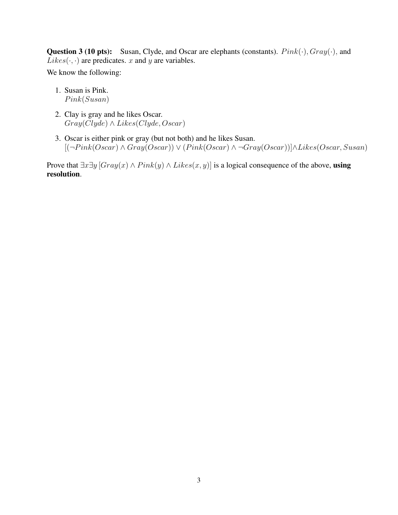**Question 3 (10 pts):** Susan, Clyde, and Oscar are elephants (constants).  $Pink(\cdot), Gray(\cdot)$ , and  $Likes(\cdot, \cdot)$  are predicates. x and y are variables.

We know the following:

- 1. Susan is Pink.  $Pink(Susan)$
- 2. Clay is gray and he likes Oscar.  $Gray(Clyde) \wedge Likes(Clyde, Oscar)$
- 3. Oscar is either pink or gray (but not both) and he likes Susan.  $[(-Pink(Oscar) \wedge Gray(Oscar)) \vee (Pink(Oscar) \wedge \neg Gray(Oscar))] \wedge Likes(Oscar, Susan)$

Prove that  $\exists x \exists y$  [ $Gray(x) \land Pink(y) \land Likes(x, y)$ ] is a logical consequence of the above, using resolution.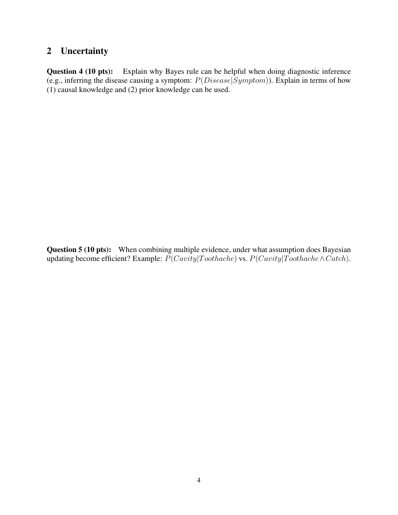### 2 Uncertainty

Question 4 (10 pts): Explain why Bayes rule can be helpful when doing diagnostic inference (e.g., inferring the disease causing a symptom:  $P(Disease|Symptom)$ ). Explain in terms of how (1) causal knowledge and (2) prior knowledge can be used.

Question 5 (10 pts): When combining multiple evidence, under what assumption does Bayesian updating become efficient? Example:  $P(Cavity | Toothache)$  vs.  $P(Cavity | Toothache \land Catch)$ .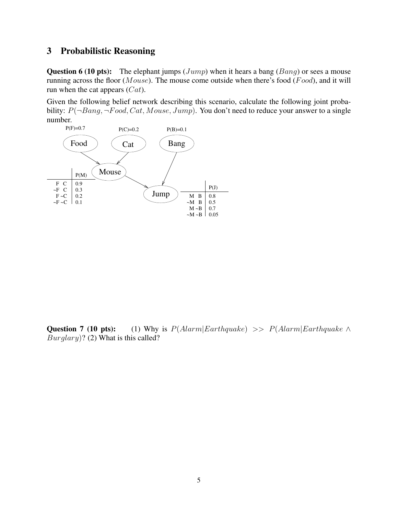### 3 Probabilistic Reasoning

Question 6 (10 pts): The elephant jumps (*Jump*) when it hears a bang (*Bang*) or sees a mouse running across the floor ( $Mouse$ ). The mouse come outside when there's food ( $Food$ ), and it will run when the cat appears  $(Cat)$ .

Given the following belief network describing this scenario, calculate the following joint probability:  $P(\neg Bang, \neg Food, Cat, Mouse, Jump)$ . You don't need to reduce your answer to a single number.



Question 7 (10 pts): (1) Why is  $P(Alarm|Earthquake) >> P(Alarm|Earthquake \wedge$  $Burglary$ ? (2) What is this called?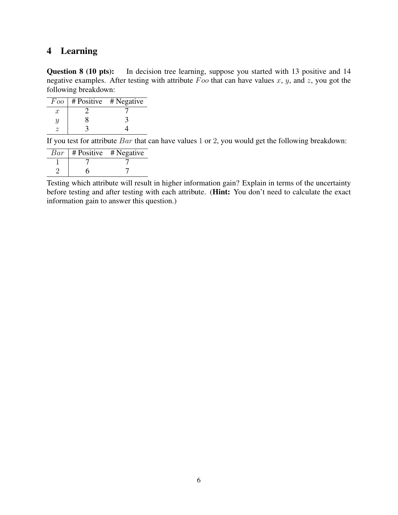### 4 Learning

Question 8 (10 pts): In decision tree learning, suppose you started with 13 positive and 14 negative examples. After testing with attribute  $\overline{F}$  oo that can have values x, y, and z, you got the following breakdown:

|                  | $Foo$   # Positive # Negative |
|------------------|-------------------------------|
| $\boldsymbol{x}$ |                               |
|                  |                               |
|                  |                               |

If you test for attribute  $Bar$  that can have values 1 or 2, you would get the following breakdown:

| Bar | $\#$ Positive $#$ Negative |  |  |  |
|-----|----------------------------|--|--|--|
|     |                            |  |  |  |
|     |                            |  |  |  |

Testing which attribute will result in higher information gain? Explain in terms of the uncertainty before testing and after testing with each attribute. (Hint: You don't need to calculate the exact information gain to answer this question.)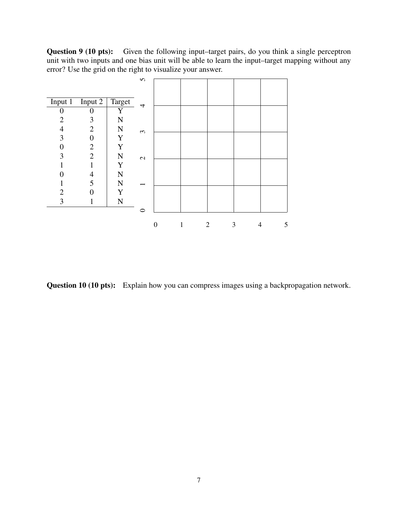Question 9 (10 pts): Given the following input–target pairs, do you think a single perceptron unit with two inputs and one bias unit will be able to learn the input–target mapping without any error? Use the grid on the right to visualize your answer.

|                   |                          |             | n             |   |   |   |        |   |
|-------------------|--------------------------|-------------|---------------|---|---|---|--------|---|
|                   |                          |             |               |   |   |   |        |   |
| Input 1 Input 2   |                          | Target      | 4             |   |   |   |        |   |
| $\mathbf{\Omega}$ | O                        | Y           |               |   |   |   |        |   |
| 2                 | 3                        | $\mathbf N$ |               |   |   |   |        |   |
| 4                 | $\overline{2}$           | ${\bf N}$   | $\epsilon$    |   |   |   |        |   |
| 3                 | $\boldsymbol{0}$         | Y           |               |   |   |   |        |   |
| $\Omega$          | $\overline{2}$           | Y           |               |   |   |   |        |   |
| 3                 | $\overline{2}$           | ${\bf N}$   | $\mathcal{L}$ |   |   |   |        |   |
|                   |                          | Y           |               |   |   |   |        |   |
|                   | $\overline{\mathcal{A}}$ | ${\bf N}$   |               |   |   |   |        |   |
|                   | 5                        | $\mathbf N$ |               |   |   |   |        |   |
| $\overline{2}$    |                          | Y           |               |   |   |   |        |   |
| 3                 |                          | ${\bf N}$   |               |   |   |   |        |   |
|                   |                          |             | ⊂             |   |   |   |        |   |
|                   |                          |             |               |   |   |   |        |   |
|                   |                          |             |               | 0 | 1 | 2 | 3<br>4 | 5 |

Question 10 (10 pts): Explain how you can compress images using a backpropagation network.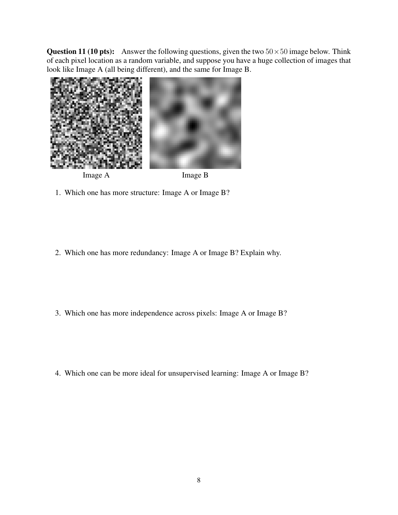**Question 11 (10 pts):** Answer the following questions, given the two  $50 \times 50$  image below. Think of each pixel location as a random variable, and suppose you have a huge collection of images that look like Image A (all being different), and the same for Image B.



- 1. Which one has more structure: Image A or Image B?
- 2. Which one has more redundancy: Image A or Image B? Explain why.
- 3. Which one has more independence across pixels: Image A or Image B?

4. Which one can be more ideal for unsupervised learning: Image A or Image B?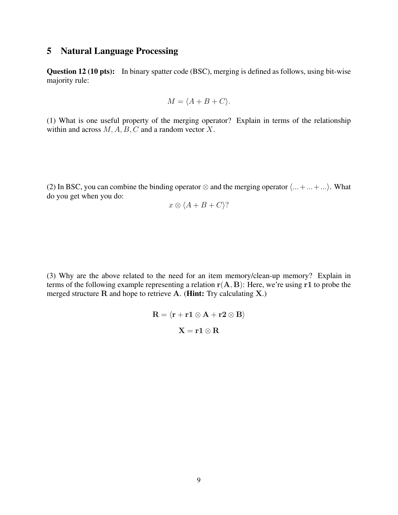#### 5 Natural Language Processing

Question 12 (10 pts): In binary spatter code (BSC), merging is defined as follows, using bit-wise majority rule:

$$
M = \langle A + B + C \rangle.
$$

(1) What is one useful property of the merging operator? Explain in terms of the relationship within and across  $M$ ,  $A$ ,  $B$ ,  $C$  and a random vector  $X$ .

(2) In BSC, you can combine the binding operator  $\otimes$  and the merging operator  $\langle ... + ... + ... \rangle$ . What do you get when you do:

$$
x \otimes \langle A + B + C \rangle?
$$

(3) Why are the above related to the need for an item memory/clean-up memory? Explain in terms of the following example representing a relation  $r(A, B)$ : Here, we're using r1 to probe the merged structure  $R$  and hope to retrieve  $A$ . (**Hint:** Try calculating  $X$ .)

$$
\mathbf{R} = \langle \mathbf{r} + \mathbf{r} \mathbf{1} \otimes \mathbf{A} + \mathbf{r} \mathbf{2} \otimes \mathbf{B} \rangle
$$

$$
\mathbf{X} = \mathbf{r} \mathbf{1} \otimes \mathbf{R}
$$